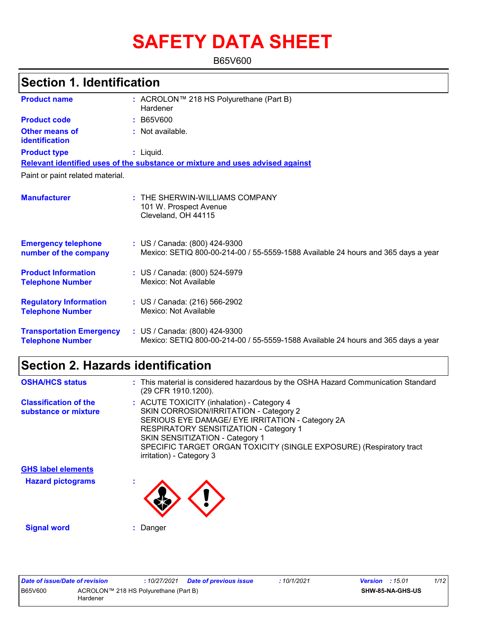# **SAFETY DATA SHEET**

B65V600

| <b>Section 1. Identification</b>                           |                                                                                                                    |  |  |  |
|------------------------------------------------------------|--------------------------------------------------------------------------------------------------------------------|--|--|--|
| <b>Product name</b>                                        | : ACROLON™ 218 HS Polyurethane (Part B)<br>Hardener                                                                |  |  |  |
| <b>Product code</b>                                        | : B65V600                                                                                                          |  |  |  |
| <b>Other means of</b><br>identification                    | : Not available.                                                                                                   |  |  |  |
| <b>Product type</b>                                        | $:$ Liquid.                                                                                                        |  |  |  |
|                                                            | Relevant identified uses of the substance or mixture and uses advised against                                      |  |  |  |
| Paint or paint related material.                           |                                                                                                                    |  |  |  |
| <b>Manufacturer</b>                                        | $:$ THE SHERWIN-WILLIAMS COMPANY<br>101 W. Prospect Avenue<br>Cleveland, OH 44115                                  |  |  |  |
| <b>Emergency telephone</b><br>number of the company        | : US / Canada: (800) 424-9300<br>Mexico: SETIQ 800-00-214-00 / 55-5559-1588 Available 24 hours and 365 days a year |  |  |  |
| <b>Product Information</b><br><b>Telephone Number</b>      | : US / Canada: (800) 524-5979<br>Mexico: Not Available                                                             |  |  |  |
| <b>Regulatory Information</b><br><b>Telephone Number</b>   | : US / Canada: (216) 566-2902<br>Mexico: Not Available                                                             |  |  |  |
| <b>Transportation Emergency</b><br><b>Telephone Number</b> | : US / Canada: (800) 424-9300<br>Mexico: SETIQ 800-00-214-00 / 55-5559-1588 Available 24 hours and 365 days a year |  |  |  |

# **Section 2. Hazards identification**

| <b>OSHA/HCS status</b>                               | : This material is considered hazardous by the OSHA Hazard Communication Standard<br>(29 CFR 1910.1200).                                                                                                                                                                                                                        |
|------------------------------------------------------|---------------------------------------------------------------------------------------------------------------------------------------------------------------------------------------------------------------------------------------------------------------------------------------------------------------------------------|
| <b>Classification of the</b><br>substance or mixture | : ACUTE TOXICITY (inhalation) - Category 4<br>SKIN CORROSION/IRRITATION - Category 2<br>SERIOUS EYE DAMAGE/ EYE IRRITATION - Category 2A<br>RESPIRATORY SENSITIZATION - Category 1<br><b>SKIN SENSITIZATION - Category 1</b><br>SPECIFIC TARGET ORGAN TOXICITY (SINGLE EXPOSURE) (Respiratory tract<br>irritation) - Category 3 |
|                                                      |                                                                                                                                                                                                                                                                                                                                 |

**Hazard pictograms : GHS label elements**



**Signal word :** Danger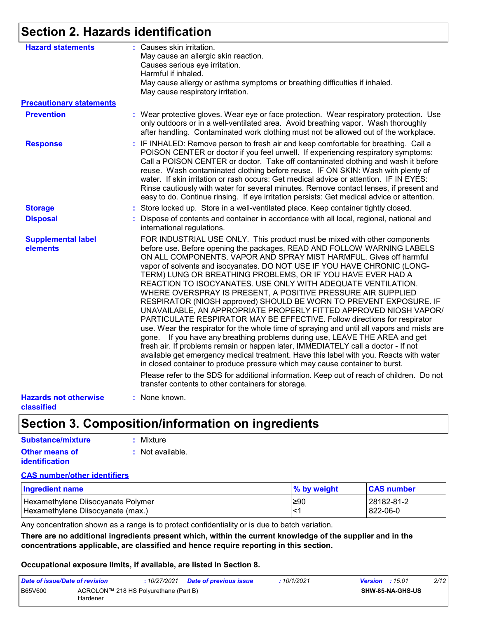# **Section 2. Hazards identification**

| <b>Hazard statements</b>                   | : Causes skin irritation.<br>May cause an allergic skin reaction.<br>Causes serious eye irritation.<br>Harmful if inhaled.<br>May cause allergy or asthma symptoms or breathing difficulties if inhaled.<br>May cause respiratory irritation.                                                                                                                                                                                                                                                                                                                                                                                                                                                                                                                                                                                                                                                                                                                                                                                                                                                                                                                               |
|--------------------------------------------|-----------------------------------------------------------------------------------------------------------------------------------------------------------------------------------------------------------------------------------------------------------------------------------------------------------------------------------------------------------------------------------------------------------------------------------------------------------------------------------------------------------------------------------------------------------------------------------------------------------------------------------------------------------------------------------------------------------------------------------------------------------------------------------------------------------------------------------------------------------------------------------------------------------------------------------------------------------------------------------------------------------------------------------------------------------------------------------------------------------------------------------------------------------------------------|
| <b>Precautionary statements</b>            |                                                                                                                                                                                                                                                                                                                                                                                                                                                                                                                                                                                                                                                                                                                                                                                                                                                                                                                                                                                                                                                                                                                                                                             |
| <b>Prevention</b>                          | : Wear protective gloves. Wear eye or face protection. Wear respiratory protection. Use<br>only outdoors or in a well-ventilated area. Avoid breathing vapor. Wash thoroughly<br>after handling. Contaminated work clothing must not be allowed out of the workplace.                                                                                                                                                                                                                                                                                                                                                                                                                                                                                                                                                                                                                                                                                                                                                                                                                                                                                                       |
| <b>Response</b>                            | : IF INHALED: Remove person to fresh air and keep comfortable for breathing. Call a<br>POISON CENTER or doctor if you feel unwell. If experiencing respiratory symptoms:<br>Call a POISON CENTER or doctor. Take off contaminated clothing and wash it before<br>reuse. Wash contaminated clothing before reuse. IF ON SKIN: Wash with plenty of<br>water. If skin irritation or rash occurs: Get medical advice or attention. IF IN EYES:<br>Rinse cautiously with water for several minutes. Remove contact lenses, if present and<br>easy to do. Continue rinsing. If eye irritation persists: Get medical advice or attention.                                                                                                                                                                                                                                                                                                                                                                                                                                                                                                                                          |
| <b>Storage</b>                             | : Store locked up. Store in a well-ventilated place. Keep container tightly closed.                                                                                                                                                                                                                                                                                                                                                                                                                                                                                                                                                                                                                                                                                                                                                                                                                                                                                                                                                                                                                                                                                         |
| <b>Disposal</b>                            | Dispose of contents and container in accordance with all local, regional, national and<br>international regulations.                                                                                                                                                                                                                                                                                                                                                                                                                                                                                                                                                                                                                                                                                                                                                                                                                                                                                                                                                                                                                                                        |
| <b>Supplemental label</b><br>elements      | FOR INDUSTRIAL USE ONLY. This product must be mixed with other components<br>before use. Before opening the packages, READ AND FOLLOW WARNING LABELS<br>ON ALL COMPONENTS. VAPOR AND SPRAY MIST HARMFUL. Gives off harmful<br>vapor of solvents and isocyanates. DO NOT USE IF YOU HAVE CHRONIC (LONG-<br>TERM) LUNG OR BREATHING PROBLEMS, OR IF YOU HAVE EVER HAD A<br>REACTION TO ISOCYANATES. USE ONLY WITH ADEQUATE VENTILATION.<br>WHERE OVERSPRAY IS PRESENT, A POSITIVE PRESSURE AIR SUPPLIED<br>RESPIRATOR (NIOSH approved) SHOULD BE WORN TO PREVENT EXPOSURE. IF<br>UNAVAILABLE, AN APPROPRIATE PROPERLY FITTED APPROVED NIOSH VAPOR/<br>PARTICULATE RESPIRATOR MAY BE EFFECTIVE. Follow directions for respirator<br>use. Wear the respirator for the whole time of spraying and until all vapors and mists are<br>If you have any breathing problems during use, LEAVE THE AREA and get<br>gone.<br>fresh air. If problems remain or happen later, IMMEDIATELY call a doctor - If not<br>available get emergency medical treatment. Have this label with you. Reacts with water<br>in closed container to produce pressure which may cause container to burst. |
|                                            | Please refer to the SDS for additional information. Keep out of reach of children. Do not<br>transfer contents to other containers for storage.                                                                                                                                                                                                                                                                                                                                                                                                                                                                                                                                                                                                                                                                                                                                                                                                                                                                                                                                                                                                                             |
| <b>Hazards not otherwise</b><br>classified | : None known.                                                                                                                                                                                                                                                                                                                                                                                                                                                                                                                                                                                                                                                                                                                                                                                                                                                                                                                                                                                                                                                                                                                                                               |

# **Section 3. Composition/information on ingredients**

| Substance/mixture     | : Mixture        |
|-----------------------|------------------|
| <b>Other means of</b> | : Not available. |
| <i>identification</i> |                  |

#### **CAS number/other identifiers**

| <b>Ingredient name</b>             | % by weight | <b>CAS number</b> |
|------------------------------------|-------------|-------------------|
| Hexamethylene Diisocyanate Polymer | l≥90        | l 28182-81-2      |
| Hexamethylene Diisocyanate (max.)  | <′          | 822-06-0          |

Any concentration shown as a range is to protect confidentiality or is due to batch variation.

**There are no additional ingredients present which, within the current knowledge of the supplier and in the concentrations applicable, are classified and hence require reporting in this section.**

#### **Occupational exposure limits, if available, are listed in Section 8.**

| Date of issue/Date of revision |                                                   | 10/27/2021 | Date of previous issue | : 10/1/2021 | <b>Version</b> : $15.01$ |                  | 2/12 |
|--------------------------------|---------------------------------------------------|------------|------------------------|-------------|--------------------------|------------------|------|
| <b>B65V600</b>                 | ACROLON™ 218 HS Polyurethane (Part B)<br>Hardener |            |                        |             |                          | SHW-85-NA-GHS-US |      |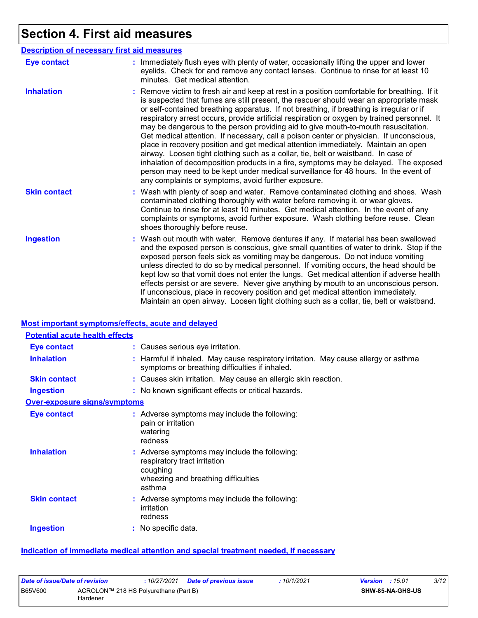# **Section 4. First aid measures**

|                     | <b>Description of necessary first aid measures</b>                                                                                                                                                                                                                                                                                                                                                                                                                                                                                                                                                                                                                                                                                                                                                                                                                                                                                                                                    |
|---------------------|---------------------------------------------------------------------------------------------------------------------------------------------------------------------------------------------------------------------------------------------------------------------------------------------------------------------------------------------------------------------------------------------------------------------------------------------------------------------------------------------------------------------------------------------------------------------------------------------------------------------------------------------------------------------------------------------------------------------------------------------------------------------------------------------------------------------------------------------------------------------------------------------------------------------------------------------------------------------------------------|
| <b>Eye contact</b>  | : Immediately flush eyes with plenty of water, occasionally lifting the upper and lower<br>eyelids. Check for and remove any contact lenses. Continue to rinse for at least 10<br>minutes. Get medical attention.                                                                                                                                                                                                                                                                                                                                                                                                                                                                                                                                                                                                                                                                                                                                                                     |
| <b>Inhalation</b>   | : Remove victim to fresh air and keep at rest in a position comfortable for breathing. If it<br>is suspected that fumes are still present, the rescuer should wear an appropriate mask<br>or self-contained breathing apparatus. If not breathing, if breathing is irregular or if<br>respiratory arrest occurs, provide artificial respiration or oxygen by trained personnel. It<br>may be dangerous to the person providing aid to give mouth-to-mouth resuscitation.<br>Get medical attention. If necessary, call a poison center or physician. If unconscious,<br>place in recovery position and get medical attention immediately. Maintain an open<br>airway. Loosen tight clothing such as a collar, tie, belt or waistband. In case of<br>inhalation of decomposition products in a fire, symptoms may be delayed. The exposed<br>person may need to be kept under medical surveillance for 48 hours. In the event of<br>any complaints or symptoms, avoid further exposure. |
| <b>Skin contact</b> | : Wash with plenty of soap and water. Remove contaminated clothing and shoes. Wash<br>contaminated clothing thoroughly with water before removing it, or wear gloves.<br>Continue to rinse for at least 10 minutes. Get medical attention. In the event of any<br>complaints or symptoms, avoid further exposure. Wash clothing before reuse. Clean<br>shoes thoroughly before reuse.                                                                                                                                                                                                                                                                                                                                                                                                                                                                                                                                                                                                 |
| <b>Ingestion</b>    | : Wash out mouth with water. Remove dentures if any. If material has been swallowed<br>and the exposed person is conscious, give small quantities of water to drink. Stop if the<br>exposed person feels sick as vomiting may be dangerous. Do not induce vomiting<br>unless directed to do so by medical personnel. If vomiting occurs, the head should be<br>kept low so that vomit does not enter the lungs. Get medical attention if adverse health<br>effects persist or are severe. Never give anything by mouth to an unconscious person.<br>If unconscious, place in recovery position and get medical attention immediately.<br>Maintain an open airway. Loosen tight clothing such as a collar, tie, belt or waistband.                                                                                                                                                                                                                                                     |

#### **Most important symptoms/effects, acute and delayed**

| <b>Potential acute health effects</b> |                                                                                                                                            |
|---------------------------------------|--------------------------------------------------------------------------------------------------------------------------------------------|
| <b>Eye contact</b>                    | : Causes serious eye irritation.                                                                                                           |
| <b>Inhalation</b>                     | : Harmful if inhaled. May cause respiratory irritation. May cause allergy or asthma<br>symptoms or breathing difficulties if inhaled.      |
| <b>Skin contact</b>                   | : Causes skin irritation. May cause an allergic skin reaction.                                                                             |
| <b>Ingestion</b>                      | : No known significant effects or critical hazards.                                                                                        |
| <b>Over-exposure signs/symptoms</b>   |                                                                                                                                            |
| <b>Eye contact</b>                    | : Adverse symptoms may include the following:<br>pain or irritation<br>watering<br>redness                                                 |
| <b>Inhalation</b>                     | : Adverse symptoms may include the following:<br>respiratory tract irritation<br>coughing<br>wheezing and breathing difficulties<br>asthma |
| <b>Skin contact</b>                   | : Adverse symptoms may include the following:<br>irritation<br>redness                                                                     |
| <b>Ingestion</b>                      | $:$ No specific data.                                                                                                                      |

#### **Indication of immediate medical attention and special treatment needed, if necessary**

| Date of issue/Date of revision |                                                   | 10/27/2021 | <b>Date of previous issue</b> | : 10/1/2021 | <b>Version</b> : $15.01$ |                         | 3/12 |
|--------------------------------|---------------------------------------------------|------------|-------------------------------|-------------|--------------------------|-------------------------|------|
| <b>B65V600</b>                 | ACROLON™ 218 HS Polyurethane (Part B)<br>Hardener |            |                               |             |                          | <b>SHW-85-NA-GHS-US</b> |      |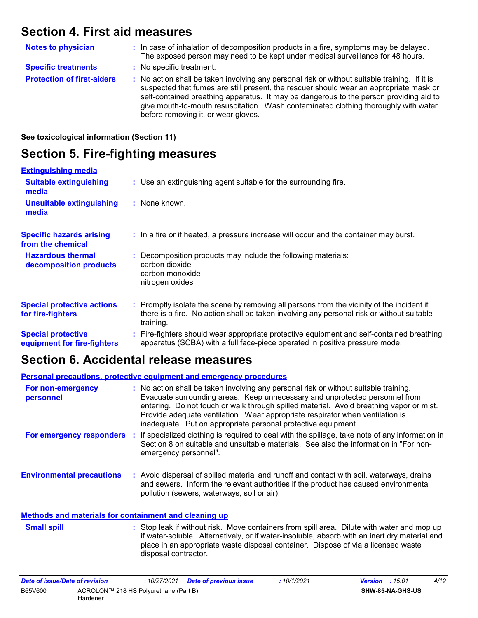# **Section 4. First aid measures**

| <b>Notes to physician</b>         | : In case of inhalation of decomposition products in a fire, symptoms may be delayed.<br>The exposed person may need to be kept under medical surveillance for 48 hours.                                                                                                                                                                                                                                        |
|-----------------------------------|-----------------------------------------------------------------------------------------------------------------------------------------------------------------------------------------------------------------------------------------------------------------------------------------------------------------------------------------------------------------------------------------------------------------|
| <b>Specific treatments</b>        | : No specific treatment.                                                                                                                                                                                                                                                                                                                                                                                        |
| <b>Protection of first-aiders</b> | : No action shall be taken involving any personal risk or without suitable training. If it is<br>suspected that fumes are still present, the rescuer should wear an appropriate mask or<br>self-contained breathing apparatus. It may be dangerous to the person providing aid to<br>give mouth-to-mouth resuscitation. Wash contaminated clothing thoroughly with water<br>before removing it, or wear gloves. |

#### **See toxicological information (Section 11)**

# **Section 5. Fire-fighting measures**

| <b>Extinguishing media</b>                               |                                                                                                                                                                                                     |
|----------------------------------------------------------|-----------------------------------------------------------------------------------------------------------------------------------------------------------------------------------------------------|
| <b>Suitable extinguishing</b><br>media                   | : Use an extinguishing agent suitable for the surrounding fire.                                                                                                                                     |
| <b>Unsuitable extinguishing</b><br>media                 | $:$ None known.                                                                                                                                                                                     |
| <b>Specific hazards arising</b><br>from the chemical     | : In a fire or if heated, a pressure increase will occur and the container may burst.                                                                                                               |
| <b>Hazardous thermal</b><br>decomposition products       | Decomposition products may include the following materials:<br>carbon dioxide<br>carbon monoxide<br>nitrogen oxides                                                                                 |
| <b>Special protective actions</b><br>for fire-fighters   | : Promptly isolate the scene by removing all persons from the vicinity of the incident if<br>there is a fire. No action shall be taken involving any personal risk or without suitable<br>training. |
| <b>Special protective</b><br>equipment for fire-fighters | : Fire-fighters should wear appropriate protective equipment and self-contained breathing<br>apparatus (SCBA) with a full face-piece operated in positive pressure mode.                            |

# **Section 6. Accidental release measures**

|                                                              | <b>Personal precautions, protective equipment and emergency procedures</b>                                                                                                                                                                                                                                                                                                                                       |
|--------------------------------------------------------------|------------------------------------------------------------------------------------------------------------------------------------------------------------------------------------------------------------------------------------------------------------------------------------------------------------------------------------------------------------------------------------------------------------------|
| For non-emergency<br>personnel                               | : No action shall be taken involving any personal risk or without suitable training.<br>Evacuate surrounding areas. Keep unnecessary and unprotected personnel from<br>entering. Do not touch or walk through spilled material. Avoid breathing vapor or mist.<br>Provide adequate ventilation. Wear appropriate respirator when ventilation is<br>inadequate. Put on appropriate personal protective equipment. |
| <b>For emergency responders</b>                              | : If specialized clothing is required to deal with the spillage, take note of any information in<br>Section 8 on suitable and unsuitable materials. See also the information in "For non-<br>emergency personnel".                                                                                                                                                                                               |
| <b>Environmental precautions</b>                             | : Avoid dispersal of spilled material and runoff and contact with soil, waterways, drains<br>and sewers. Inform the relevant authorities if the product has caused environmental<br>pollution (sewers, waterways, soil or air).                                                                                                                                                                                  |
| <b>Methods and materials for containment and cleaning up</b> |                                                                                                                                                                                                                                                                                                                                                                                                                  |

#### Stop leak if without risk. Move containers from spill area. Dilute with water and mop up if water-soluble. Alternatively, or if water-insoluble, absorb with an inert dry material and place in an appropriate waste disposal container. Dispose of via a licensed waste disposal contractor. **Small spill :**

| Date of issue/Date of revision |                                                   | : 10/27/2021 | <b>Date of previous issue</b> | :10/1/2021 | <b>Version</b> : $15.01$ |                         | 4/12 |
|--------------------------------|---------------------------------------------------|--------------|-------------------------------|------------|--------------------------|-------------------------|------|
| B65V600                        | ACROLON™ 218 HS Polyurethane (Part B)<br>Hardener |              |                               |            |                          | <b>SHW-85-NA-GHS-US</b> |      |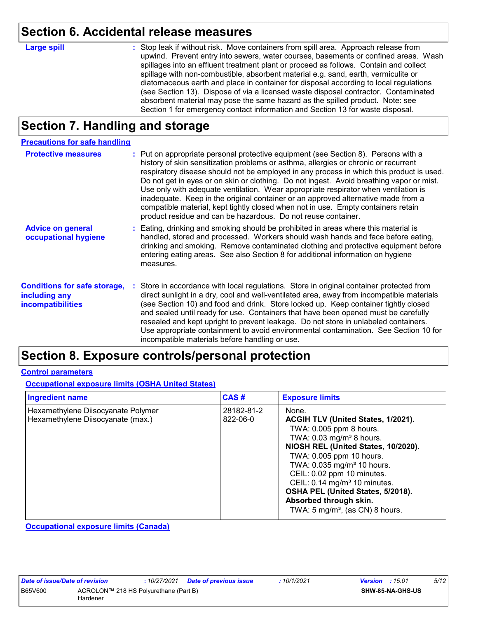### **Section 6. Accidental release measures**

|  |  | п<br>п | ı |
|--|--|--------|---|
|  |  |        |   |

Stop leak if without risk. Move containers from spill area. Approach release from **Large spill :** upwind. Prevent entry into sewers, water courses, basements or confined areas. Wash spillages into an effluent treatment plant or proceed as follows. Contain and collect spillage with non-combustible, absorbent material e.g. sand, earth, vermiculite or diatomaceous earth and place in container for disposal according to local regulations (see Section 13). Dispose of via a licensed waste disposal contractor. Contaminated absorbent material may pose the same hazard as the spilled product. Note: see Section 1 for emergency contact information and Section 13 for waste disposal.

# **Section 7. Handling and storage**

| <b>Precautions for safe handling</b>                                             |                                                                                                                                                                                                                                                                                                                                                                                                                                                                                                                                                                                                                                                                                                     |
|----------------------------------------------------------------------------------|-----------------------------------------------------------------------------------------------------------------------------------------------------------------------------------------------------------------------------------------------------------------------------------------------------------------------------------------------------------------------------------------------------------------------------------------------------------------------------------------------------------------------------------------------------------------------------------------------------------------------------------------------------------------------------------------------------|
| <b>Protective measures</b>                                                       | : Put on appropriate personal protective equipment (see Section 8). Persons with a<br>history of skin sensitization problems or asthma, allergies or chronic or recurrent<br>respiratory disease should not be employed in any process in which this product is used.<br>Do not get in eyes or on skin or clothing. Do not ingest. Avoid breathing vapor or mist.<br>Use only with adequate ventilation. Wear appropriate respirator when ventilation is<br>inadequate. Keep in the original container or an approved alternative made from a<br>compatible material, kept tightly closed when not in use. Empty containers retain<br>product residue and can be hazardous. Do not reuse container. |
| <b>Advice on general</b><br>occupational hygiene                                 | : Eating, drinking and smoking should be prohibited in areas where this material is<br>handled, stored and processed. Workers should wash hands and face before eating,<br>drinking and smoking. Remove contaminated clothing and protective equipment before<br>entering eating areas. See also Section 8 for additional information on hygiene<br>measures.                                                                                                                                                                                                                                                                                                                                       |
| <b>Conditions for safe storage,</b><br>including any<br><b>incompatibilities</b> | : Store in accordance with local regulations. Store in original container protected from<br>direct sunlight in a dry, cool and well-ventilated area, away from incompatible materials<br>(see Section 10) and food and drink. Store locked up. Keep container tightly closed<br>and sealed until ready for use. Containers that have been opened must be carefully<br>resealed and kept upright to prevent leakage. Do not store in unlabeled containers.<br>Use appropriate containment to avoid environmental contamination. See Section 10 for<br>incompatible materials before handling or use.                                                                                                 |

### **Section 8. Exposure controls/personal protection**

#### **Control parameters**

**Occupational exposure limits (OSHA United States)**

| <b>Ingredient name</b>                                                  | CAS#                   | <b>Exposure limits</b>                                                                                                                                                                                                                                                                                                                                                                                               |
|-------------------------------------------------------------------------|------------------------|----------------------------------------------------------------------------------------------------------------------------------------------------------------------------------------------------------------------------------------------------------------------------------------------------------------------------------------------------------------------------------------------------------------------|
| Hexamethylene Diisocyanate Polymer<br>Hexamethylene Diisocyanate (max.) | 28182-81-2<br>822-06-0 | None.<br>ACGIH TLV (United States, 1/2021).<br>TWA: 0.005 ppm 8 hours.<br>TWA: $0.03$ mg/m <sup>3</sup> 8 hours.<br>NIOSH REL (United States, 10/2020).<br>TWA: 0.005 ppm 10 hours.<br>TWA: 0.035 mg/m <sup>3</sup> 10 hours.<br>CEIL: 0.02 ppm 10 minutes.<br>CEIL: 0.14 mg/m <sup>3</sup> 10 minutes.<br>OSHA PEL (United States, 5/2018).<br>Absorbed through skin.<br>TWA: $5 \text{ mg/m}^3$ , (as CN) 8 hours. |

**Occupational exposure limits (Canada)**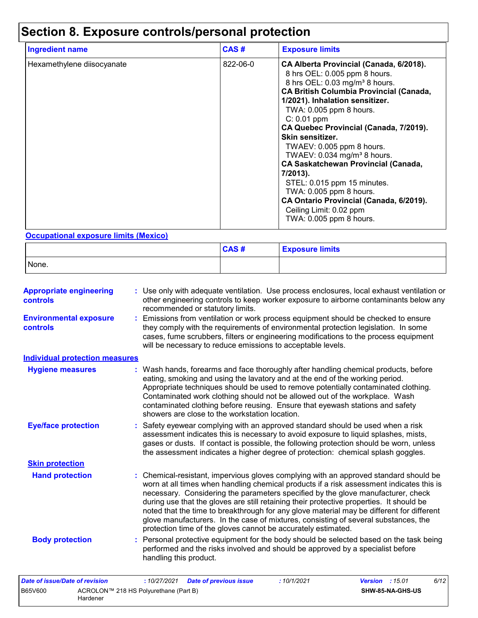# **Section 8. Exposure controls/personal protection**

| <b>Ingredient name</b>     | CAS#     | <b>Exposure limits</b>                                                                                                                                                                                                                                                                                                                                                                                                                                                                                                                                                                                             |
|----------------------------|----------|--------------------------------------------------------------------------------------------------------------------------------------------------------------------------------------------------------------------------------------------------------------------------------------------------------------------------------------------------------------------------------------------------------------------------------------------------------------------------------------------------------------------------------------------------------------------------------------------------------------------|
| Hexamethylene diisocyanate | 822-06-0 | CA Alberta Provincial (Canada, 6/2018).<br>8 hrs OEL: 0.005 ppm 8 hours.<br>8 hrs OEL: 0.03 mg/m <sup>3</sup> 8 hours.<br><b>CA British Columbia Provincial (Canada,</b><br>1/2021). Inhalation sensitizer.<br>TWA: 0.005 ppm 8 hours.<br>$C: 0.01$ ppm<br>CA Quebec Provincial (Canada, 7/2019).<br>Skin sensitizer.<br>TWAEV: 0.005 ppm 8 hours.<br>TWAEV: 0.034 mg/m <sup>3</sup> 8 hours.<br><b>CA Saskatchewan Provincial (Canada,</b><br>7/2013).<br>STEL: 0.015 ppm 15 minutes.<br>TWA: 0.005 ppm 8 hours.<br>CA Ontario Provincial (Canada, 6/2019).<br>Ceiling Limit: 0.02 ppm<br>TWA: 0.005 ppm 8 hours. |

#### **Occupational exposure limits (Mexico)**

|       | CAS# | <b>Exposure limits</b> |
|-------|------|------------------------|
| None. |      |                        |

| <b>Appropriate engineering</b><br>controls | : Use only with adequate ventilation. Use process enclosures, local exhaust ventilation or<br>other engineering controls to keep worker exposure to airborne contaminants below any<br>recommended or statutory limits.                                                                                                                                                                                                                                                                                                                                                                                                |  |  |  |  |  |  |  |
|--------------------------------------------|------------------------------------------------------------------------------------------------------------------------------------------------------------------------------------------------------------------------------------------------------------------------------------------------------------------------------------------------------------------------------------------------------------------------------------------------------------------------------------------------------------------------------------------------------------------------------------------------------------------------|--|--|--|--|--|--|--|
| <b>Environmental exposure</b><br>controls  | : Emissions from ventilation or work process equipment should be checked to ensure<br>they comply with the requirements of environmental protection legislation. In some<br>cases, fume scrubbers, filters or engineering modifications to the process equipment<br>will be necessary to reduce emissions to acceptable levels.                                                                                                                                                                                                                                                                                        |  |  |  |  |  |  |  |
| <b>Individual protection measures</b>      |                                                                                                                                                                                                                                                                                                                                                                                                                                                                                                                                                                                                                        |  |  |  |  |  |  |  |
| <b>Hygiene measures</b>                    | : Wash hands, forearms and face thoroughly after handling chemical products, before<br>eating, smoking and using the lavatory and at the end of the working period.<br>Appropriate techniques should be used to remove potentially contaminated clothing.<br>Contaminated work clothing should not be allowed out of the workplace. Wash<br>contaminated clothing before reusing. Ensure that eyewash stations and safety<br>showers are close to the workstation location.                                                                                                                                            |  |  |  |  |  |  |  |
| <b>Eye/face protection</b>                 | : Safety eyewear complying with an approved standard should be used when a risk<br>assessment indicates this is necessary to avoid exposure to liquid splashes, mists,<br>gases or dusts. If contact is possible, the following protection should be worn, unless<br>the assessment indicates a higher degree of protection: chemical splash goggles.                                                                                                                                                                                                                                                                  |  |  |  |  |  |  |  |
| <b>Skin protection</b>                     |                                                                                                                                                                                                                                                                                                                                                                                                                                                                                                                                                                                                                        |  |  |  |  |  |  |  |
| <b>Hand protection</b>                     | : Chemical-resistant, impervious gloves complying with an approved standard should be<br>worn at all times when handling chemical products if a risk assessment indicates this is<br>necessary. Considering the parameters specified by the glove manufacturer, check<br>during use that the gloves are still retaining their protective properties. It should be<br>noted that the time to breakthrough for any glove material may be different for different<br>glove manufacturers. In the case of mixtures, consisting of several substances, the<br>protection time of the gloves cannot be accurately estimated. |  |  |  |  |  |  |  |
| <b>Body protection</b>                     | : Personal protective equipment for the body should be selected based on the task being<br>performed and the risks involved and should be approved by a specialist before<br>handling this product.                                                                                                                                                                                                                                                                                                                                                                                                                    |  |  |  |  |  |  |  |
| Date of issue/Date of revision             | 6/12<br>: 10/27/2021<br>:10/1/2021<br><b>Version</b> : 15.01<br><b>Date of previous issue</b>                                                                                                                                                                                                                                                                                                                                                                                                                                                                                                                          |  |  |  |  |  |  |  |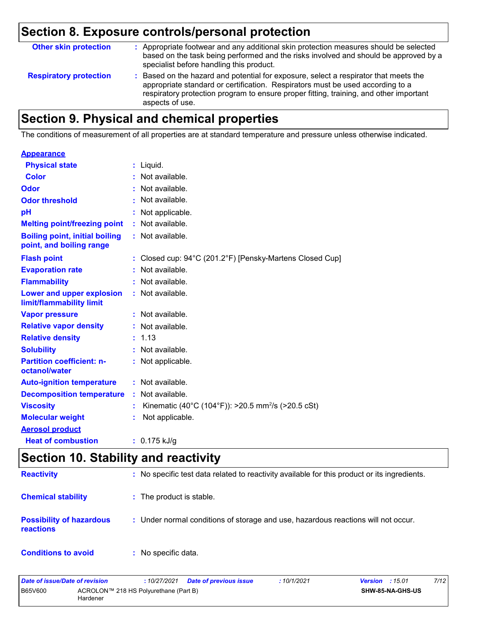# **Section 8. Exposure controls/personal protection**

| <b>Other skin protection</b>  | : Appropriate footwear and any additional skin protection measures should be selected<br>based on the task being performed and the risks involved and should be approved by a<br>specialist before handling this product.                                                           |
|-------------------------------|-------------------------------------------------------------------------------------------------------------------------------------------------------------------------------------------------------------------------------------------------------------------------------------|
| <b>Respiratory protection</b> | : Based on the hazard and potential for exposure, select a respirator that meets the<br>appropriate standard or certification. Respirators must be used according to a<br>respiratory protection program to ensure proper fitting, training, and other important<br>aspects of use. |

# **Section 9. Physical and chemical properties**

The conditions of measurement of all properties are at standard temperature and pressure unless otherwise indicated.

## **Appearance**

| <b>Physical state</b>                                             | : Liquid.                                                      |
|-------------------------------------------------------------------|----------------------------------------------------------------|
| Color                                                             | : Not available.                                               |
| Odor                                                              | Not available.                                                 |
| <b>Odor threshold</b>                                             | Not available.                                                 |
| pH                                                                | Not applicable.                                                |
| <b>Melting point/freezing point</b>                               | $:$ Not available.                                             |
| <b>Boiling point, initial boiling</b><br>point, and boiling range | : Not available.                                               |
| <b>Flash point</b>                                                | : Closed cup: 94°C (201.2°F) [Pensky-Martens Closed Cup]       |
| <b>Evaporation rate</b>                                           | Not available.                                                 |
| <b>Flammability</b>                                               | : Not available.                                               |
| Lower and upper explosion<br>limit/flammability limit             | : Not available.                                               |
| <b>Vapor pressure</b>                                             | : Not available.                                               |
| <b>Relative vapor density</b>                                     | : Not available.                                               |
| <b>Relative density</b>                                           | : 1.13                                                         |
| <b>Solubility</b>                                                 | : Not available.                                               |
| <b>Partition coefficient: n-</b><br>octanol/water                 | : Not applicable.                                              |
| <b>Auto-ignition temperature</b>                                  | : Not available.                                               |
| <b>Decomposition temperature</b>                                  | Not available.                                                 |
| <b>Viscosity</b>                                                  | Kinematic (40°C (104°F)): >20.5 mm <sup>2</sup> /s (>20.5 cSt) |
| <b>Molecular weight</b>                                           | Not applicable.                                                |
| <b>Aerosol product</b>                                            |                                                                |
| <b>Heat of combustion</b>                                         | $: 0.175$ kJ/g                                                 |

# **Section 10. Stability and reactivity**

| <b>Reactivity</b>                                   | : No specific test data related to reactivity available for this product or its ingredients. |
|-----------------------------------------------------|----------------------------------------------------------------------------------------------|
| <b>Chemical stability</b>                           | : The product is stable.                                                                     |
| <b>Possibility of hazardous</b><br><b>reactions</b> | : Under normal conditions of storage and use, hazardous reactions will not occur.            |
| <b>Conditions to avoid</b>                          | : No specific data.                                                                          |

| Date of issue/Date of revision |                                                   | : 10/27/2021 Date of previous issue | 10/1/2021 | <b>Version</b> : $15.01$ | 7/12 |
|--------------------------------|---------------------------------------------------|-------------------------------------|-----------|--------------------------|------|
| <b>B65V600</b>                 | ACROLON™ 218 HS Polyurethane (Part B)<br>Hardener |                                     |           | <b>SHW-85-NA-GHS-US</b>  |      |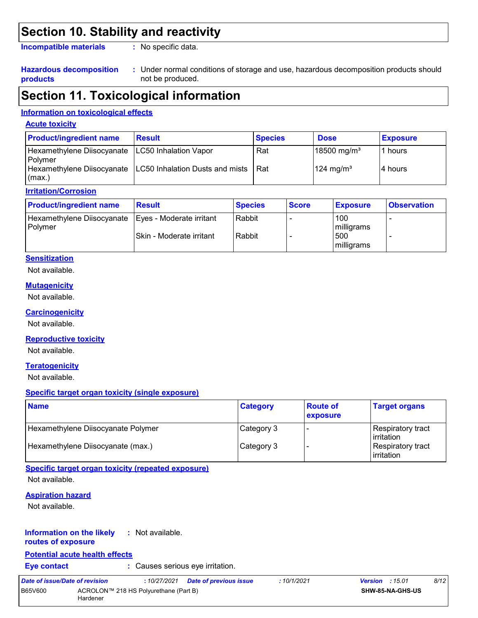### **Section 10. Stability and reactivity**

**Incompatible materials :**

: No specific data.

#### **Hazardous decomposition products**

Under normal conditions of storage and use, hazardous decomposition products should **:** not be produced.

### **Section 11. Toxicological information**

#### **Information on toxicological effects**

#### **Acute toxicity**

| <b>Product/ingredient name</b>                                | <b>Result</b>                                                | <b>Species</b> | <b>Dose</b>             | <b>Exposure</b> |
|---------------------------------------------------------------|--------------------------------------------------------------|----------------|-------------------------|-----------------|
| Hexamethylene Diisocyanate   LC50 Inhalation Vapor<br>Polymer |                                                              | Rat            | 18500 mg/m <sup>3</sup> | 1 hours         |
| (max.)                                                        | Hexamethylene Diisocyanate   LC50 Inhalation Dusts and mists | <b>Rat</b>     | $124 \text{ mg/m}^3$    | l4 hours        |

#### **Irritation/Corrosion**

| <b>Product/ingredient name</b>        | <b>Result</b>            | <b>Species</b> | <b>Score</b> | <b>Exposure</b>   | <b>Observation</b> |
|---------------------------------------|--------------------------|----------------|--------------|-------------------|--------------------|
| Hexamethylene Diisocyanate<br>Polymer | Eyes - Moderate irritant | Rabbit         |              | 100<br>milligrams | -                  |
|                                       | Skin - Moderate irritant | Rabbit         |              | 500<br>milligrams | -                  |

#### **Sensitization**

Not available.

#### **Mutagenicity**

Not available.

#### **Carcinogenicity**

Not available.

#### **Reproductive toxicity**

Not available.

#### **Teratogenicity**

Not available.

#### **Specific target organ toxicity (single exposure)**

| <b>Name</b>                        | <b>Category</b> | <b>Route of</b><br><b>exposure</b> | <b>Target organs</b>                     |
|------------------------------------|-----------------|------------------------------------|------------------------------------------|
| Hexamethylene Diisocyanate Polymer | Category 3      |                                    | Respiratory tract<br><b>l</b> irritation |
| Hexamethylene Diisocyanate (max.)  | Category 3      |                                    | Respiratory tract<br>lirritation         |

#### **Specific target organ toxicity (repeated exposure)** Not available.

#### **Aspiration hazard**

Not available.

#### **Information on the likely routes of exposure :** Not available.

#### **Potential acute health effects**

**Eye contact :** Causes serious eye irritation.

*Date of issue/Date of revision* **:** *10/27/2021 Date of previous issue : 10/1/2021 Version : 15.01 8/12* B65V600 ACROLON™ 218 HS Polyurethane (Part B) Hardener **SHW-85-NA-GHS-US**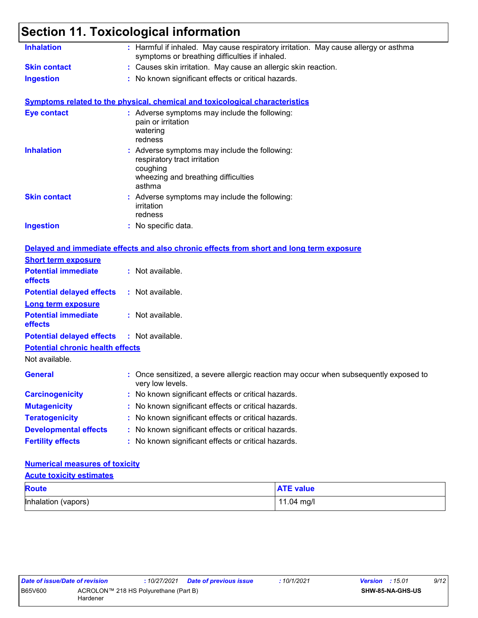# **Section 11. Toxicological information**

| <b>Inhalation</b>                       | : Harmful if inhaled. May cause respiratory irritation. May cause allergy or asthma<br>symptoms or breathing difficulties if inhaled.      |  |
|-----------------------------------------|--------------------------------------------------------------------------------------------------------------------------------------------|--|
| <b>Skin contact</b>                     | : Causes skin irritation. May cause an allergic skin reaction.                                                                             |  |
| <b>Ingestion</b>                        | : No known significant effects or critical hazards.                                                                                        |  |
|                                         | <b>Symptoms related to the physical, chemical and toxicological characteristics</b>                                                        |  |
| <b>Eye contact</b>                      | : Adverse symptoms may include the following:<br>pain or irritation<br>watering<br>redness                                                 |  |
| <b>Inhalation</b>                       | : Adverse symptoms may include the following:<br>respiratory tract irritation<br>coughing<br>wheezing and breathing difficulties<br>asthma |  |
| <b>Skin contact</b>                     | : Adverse symptoms may include the following:<br>irritation<br>redness                                                                     |  |
| <b>Ingestion</b>                        | : No specific data.                                                                                                                        |  |
|                                         | Delayed and immediate effects and also chronic effects from short and long term exposure                                                   |  |
| <b>Short term exposure</b>              |                                                                                                                                            |  |
| <b>Potential immediate</b><br>effects   | : Not available.                                                                                                                           |  |
| <b>Potential delayed effects</b>        | : Not available.                                                                                                                           |  |
| <b>Long term exposure</b>               |                                                                                                                                            |  |
| <b>Potential immediate</b><br>effects   | : Not available.                                                                                                                           |  |
| <b>Potential delayed effects</b>        | : Not available.                                                                                                                           |  |
| <b>Potential chronic health effects</b> |                                                                                                                                            |  |
| Not available.                          |                                                                                                                                            |  |
| <b>General</b>                          | : Once sensitized, a severe allergic reaction may occur when subsequently exposed to<br>very low levels.                                   |  |
| <b>Carcinogenicity</b>                  | : No known significant effects or critical hazards.                                                                                        |  |
| <b>Mutagenicity</b>                     | : No known significant effects or critical hazards.                                                                                        |  |
| <b>Teratogenicity</b>                   | : No known significant effects or critical hazards.                                                                                        |  |
| <b>Developmental effects</b>            | : No known significant effects or critical hazards.                                                                                        |  |
| <b>Fertility effects</b>                | : No known significant effects or critical hazards.                                                                                        |  |

#### **Numerical measures of toxicity**

Inhalation (vapors) 11.04 mg/l **Route ATE value Acute toxicity estimates**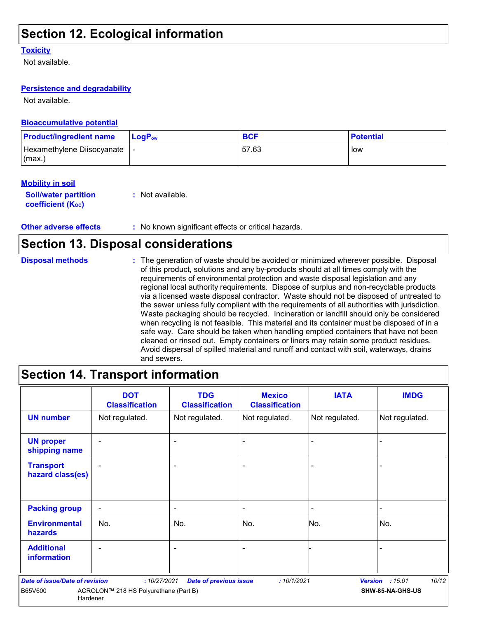# **Section 12. Ecological information**

#### **Toxicity**

Not available.

#### **Persistence and degradability**

Not available.

#### **Bioaccumulative potential**

| <b>Product/ingredient name</b> | $\mathsf{LogP}_\mathsf{ow}$ | <b>BCF</b> | <b>Potential</b> |
|--------------------------------|-----------------------------|------------|------------------|
| Hexamethylene Diisocyanate     |                             | 57.63      | low              |
| l (max.)                       |                             |            |                  |

#### **Mobility in soil**

**Soil/water partition coefficient (Koc)** 

**:** Not available.

**Other adverse effects** : No known significant effects or critical hazards.

## **Section 13. Disposal considerations**

| <b>Disposal methods</b> | : The generation of waste should be avoided or minimized wherever possible. Disposal<br>of this product, solutions and any by-products should at all times comply with the<br>requirements of environmental protection and waste disposal legislation and any<br>regional local authority requirements. Dispose of surplus and non-recyclable products<br>via a licensed waste disposal contractor. Waste should not be disposed of untreated to<br>the sewer unless fully compliant with the requirements of all authorities with jurisdiction.<br>Waste packaging should be recycled. Incineration or landfill should only be considered<br>when recycling is not feasible. This material and its container must be disposed of in a<br>safe way. Care should be taken when handling emptied containers that have not been<br>cleaned or rinsed out. Empty containers or liners may retain some product residues. |
|-------------------------|---------------------------------------------------------------------------------------------------------------------------------------------------------------------------------------------------------------------------------------------------------------------------------------------------------------------------------------------------------------------------------------------------------------------------------------------------------------------------------------------------------------------------------------------------------------------------------------------------------------------------------------------------------------------------------------------------------------------------------------------------------------------------------------------------------------------------------------------------------------------------------------------------------------------|
|                         | Avoid dispersal of spilled material and runoff and contact with soil, waterways, drains<br>and sewers.                                                                                                                                                                                                                                                                                                                                                                                                                                                                                                                                                                                                                                                                                                                                                                                                              |

# **Section 14. Transport information**

|                                         | <b>DOT</b><br><b>Classification</b>   | <b>TDG</b><br><b>Classification</b> | <b>Mexico</b><br><b>Classification</b> | <b>IATA</b>    | <b>IMDG</b>      |
|-----------------------------------------|---------------------------------------|-------------------------------------|----------------------------------------|----------------|------------------|
| <b>UN number</b>                        | Not regulated.                        | Not regulated.                      | Not regulated.                         | Not regulated. | Not regulated.   |
| <b>UN proper</b><br>shipping name       | ۰                                     | $\overline{\phantom{0}}$            |                                        |                |                  |
| <b>Transport</b><br>hazard class(es)    |                                       |                                     |                                        |                |                  |
| <b>Packing group</b>                    | $\blacksquare$                        | ٠                                   |                                        |                |                  |
| <b>Environmental</b><br>hazards         | No.                                   | No.                                 | No.                                    | No.            | No.              |
| <b>Additional</b><br><b>information</b> | $\blacksquare$                        | $\overline{\phantom{0}}$            |                                        |                |                  |
| <b>Date of issue/Date of revision</b>   | :10/27/2021                           | <b>Date of previous issue</b>       | :10/1/2021                             | <b>Version</b> | 10/12<br>:15.01  |
| B65V600<br>Hardener                     | ACROLON™ 218 HS Polyurethane (Part B) |                                     |                                        |                | SHW-85-NA-GHS-US |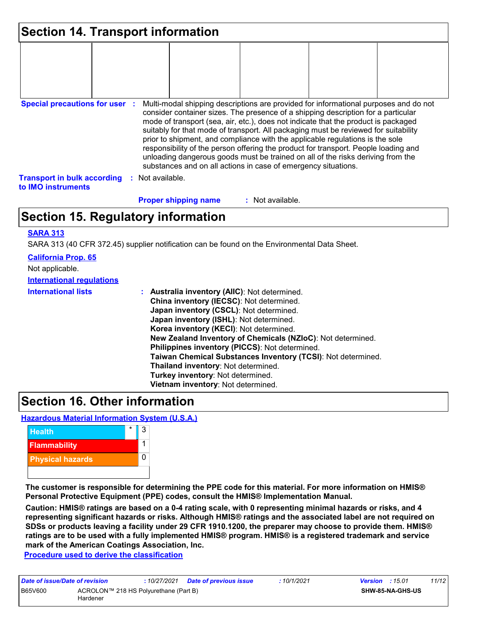| <b>Section 14. Transport information</b>                 |                      |                             |                                                                                                                                                                                                                                                                                                                                                                                                                                                                                                                                                                                                                                                                                     |  |
|----------------------------------------------------------|----------------------|-----------------------------|-------------------------------------------------------------------------------------------------------------------------------------------------------------------------------------------------------------------------------------------------------------------------------------------------------------------------------------------------------------------------------------------------------------------------------------------------------------------------------------------------------------------------------------------------------------------------------------------------------------------------------------------------------------------------------------|--|
|                                                          |                      |                             |                                                                                                                                                                                                                                                                                                                                                                                                                                                                                                                                                                                                                                                                                     |  |
|                                                          |                      |                             |                                                                                                                                                                                                                                                                                                                                                                                                                                                                                                                                                                                                                                                                                     |  |
|                                                          |                      |                             |                                                                                                                                                                                                                                                                                                                                                                                                                                                                                                                                                                                                                                                                                     |  |
| <b>Special precautions for user :</b>                    |                      |                             | Multi-modal shipping descriptions are provided for informational purposes and do not<br>consider container sizes. The presence of a shipping description for a particular<br>mode of transport (sea, air, etc.), does not indicate that the product is packaged<br>suitably for that mode of transport. All packaging must be reviewed for suitability<br>prior to shipment, and compliance with the applicable regulations is the sole<br>responsibility of the person offering the product for transport. People loading and<br>unloading dangerous goods must be trained on all of the risks deriving from the<br>substances and on all actions in case of emergency situations. |  |
| <b>Transport in bulk according</b><br>to IMO instruments | Not available.<br>÷. |                             |                                                                                                                                                                                                                                                                                                                                                                                                                                                                                                                                                                                                                                                                                     |  |
|                                                          |                      | <b>Proper shipping name</b> | : Not available.                                                                                                                                                                                                                                                                                                                                                                                                                                                                                                                                                                                                                                                                    |  |

# **Section 15. Regulatory information**

#### **SARA 313**

SARA 313 (40 CFR 372.45) supplier notification can be found on the Environmental Data Sheet.

| Taiwan Chemical Substances Inventory (TCSI): Not determined. |
|--------------------------------------------------------------|

### **Section 16. Other information**

**Hazardous Material Information System (U.S.A.)**



**The customer is responsible for determining the PPE code for this material. For more information on HMIS® Personal Protective Equipment (PPE) codes, consult the HMIS® Implementation Manual.**

**Caution: HMIS® ratings are based on a 0-4 rating scale, with 0 representing minimal hazards or risks, and 4 representing significant hazards or risks. Although HMIS® ratings and the associated label are not required on SDSs or products leaving a facility under 29 CFR 1910.1200, the preparer may choose to provide them. HMIS® ratings are to be used with a fully implemented HMIS® program. HMIS® is a registered trademark and service mark of the American Coatings Association, Inc.**

**Procedure used to derive the classification**

| Date of issue/Date of revision                               |  |  | : 10/27/2021 <b>Date of previous issue</b> | : 10/1/2021 | <b>Version</b> : $15.01$ |  | 11/12 |
|--------------------------------------------------------------|--|--|--------------------------------------------|-------------|--------------------------|--|-------|
| B65V600<br>ACROLON™ 218 HS Polyurethane (Part B)<br>Hardener |  |  |                                            |             | <b>SHW-85-NA-GHS-US</b>  |  |       |